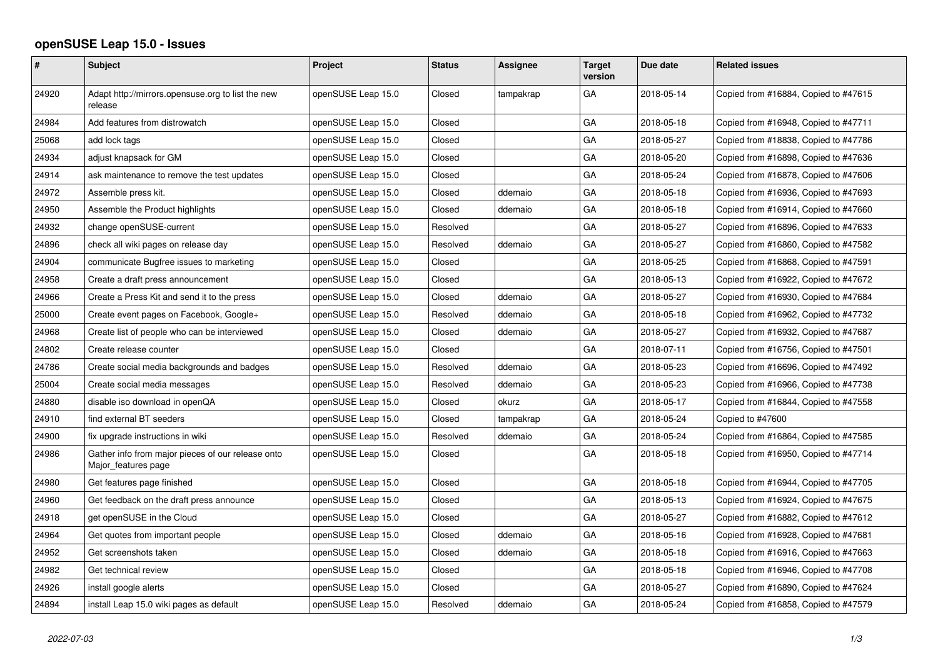## **openSUSE Leap 15.0 - Issues**

| $\pmb{\#}$ | <b>Subject</b>                                                           | Project            | <b>Status</b> | <b>Assignee</b> | <b>Target</b><br>version | Due date   | <b>Related issues</b>                |
|------------|--------------------------------------------------------------------------|--------------------|---------------|-----------------|--------------------------|------------|--------------------------------------|
| 24920      | Adapt http://mirrors.opensuse.org to list the new<br>release             | openSUSE Leap 15.0 | Closed        | tampakrap       | GA                       | 2018-05-14 | Copied from #16884, Copied to #47615 |
| 24984      | Add features from distrowatch                                            | openSUSE Leap 15.0 | Closed        |                 | GA                       | 2018-05-18 | Copied from #16948, Copied to #47711 |
| 25068      | add lock tags                                                            | openSUSE Leap 15.0 | Closed        |                 | GA                       | 2018-05-27 | Copied from #18838, Copied to #47786 |
| 24934      | adjust knapsack for GM                                                   | openSUSE Leap 15.0 | Closed        |                 | GA                       | 2018-05-20 | Copied from #16898, Copied to #47636 |
| 24914      | ask maintenance to remove the test updates                               | openSUSE Leap 15.0 | Closed        |                 | GA                       | 2018-05-24 | Copied from #16878, Copied to #47606 |
| 24972      | Assemble press kit.                                                      | openSUSE Leap 15.0 | Closed        | ddemaio         | GA                       | 2018-05-18 | Copied from #16936, Copied to #47693 |
| 24950      | Assemble the Product highlights                                          | openSUSE Leap 15.0 | Closed        | ddemaio         | GA                       | 2018-05-18 | Copied from #16914, Copied to #47660 |
| 24932      | change openSUSE-current                                                  | openSUSE Leap 15.0 | Resolved      |                 | GA                       | 2018-05-27 | Copied from #16896, Copied to #47633 |
| 24896      | check all wiki pages on release day                                      | openSUSE Leap 15.0 | Resolved      | ddemaio         | GA                       | 2018-05-27 | Copied from #16860, Copied to #47582 |
| 24904      | communicate Bugfree issues to marketing                                  | openSUSE Leap 15.0 | Closed        |                 | GA                       | 2018-05-25 | Copied from #16868, Copied to #47591 |
| 24958      | Create a draft press announcement                                        | openSUSE Leap 15.0 | Closed        |                 | GA                       | 2018-05-13 | Copied from #16922, Copied to #47672 |
| 24966      | Create a Press Kit and send it to the press                              | openSUSE Leap 15.0 | Closed        | ddemaio         | GA                       | 2018-05-27 | Copied from #16930, Copied to #47684 |
| 25000      | Create event pages on Facebook, Google+                                  | openSUSE Leap 15.0 | Resolved      | ddemaio         | GA                       | 2018-05-18 | Copied from #16962, Copied to #47732 |
| 24968      | Create list of people who can be interviewed                             | openSUSE Leap 15.0 | Closed        | ddemaio         | GA                       | 2018-05-27 | Copied from #16932, Copied to #47687 |
| 24802      | Create release counter                                                   | openSUSE Leap 15.0 | Closed        |                 | GA                       | 2018-07-11 | Copied from #16756, Copied to #47501 |
| 24786      | Create social media backgrounds and badges                               | openSUSE Leap 15.0 | Resolved      | ddemaio         | GA                       | 2018-05-23 | Copied from #16696, Copied to #47492 |
| 25004      | Create social media messages                                             | openSUSE Leap 15.0 | Resolved      | ddemaio         | GA                       | 2018-05-23 | Copied from #16966, Copied to #47738 |
| 24880      | disable iso download in openQA                                           | openSUSE Leap 15.0 | Closed        | okurz           | GA                       | 2018-05-17 | Copied from #16844, Copied to #47558 |
| 24910      | find external BT seeders                                                 | openSUSE Leap 15.0 | Closed        | tampakrap       | GA                       | 2018-05-24 | Copied to #47600                     |
| 24900      | fix upgrade instructions in wiki                                         | openSUSE Leap 15.0 | Resolved      | ddemaio         | GA                       | 2018-05-24 | Copied from #16864, Copied to #47585 |
| 24986      | Gather info from major pieces of our release onto<br>Major_features page | openSUSE Leap 15.0 | Closed        |                 | GA                       | 2018-05-18 | Copied from #16950, Copied to #47714 |
| 24980      | Get features page finished                                               | openSUSE Leap 15.0 | Closed        |                 | GA                       | 2018-05-18 | Copied from #16944, Copied to #47705 |
| 24960      | Get feedback on the draft press announce                                 | openSUSE Leap 15.0 | Closed        |                 | GA                       | 2018-05-13 | Copied from #16924, Copied to #47675 |
| 24918      | get openSUSE in the Cloud                                                | openSUSE Leap 15.0 | Closed        |                 | GA                       | 2018-05-27 | Copied from #16882, Copied to #47612 |
| 24964      | Get quotes from important people                                         | openSUSE Leap 15.0 | Closed        | ddemaio         | GA                       | 2018-05-16 | Copied from #16928, Copied to #47681 |
| 24952      | Get screenshots taken                                                    | openSUSE Leap 15.0 | Closed        | ddemaio         | GA                       | 2018-05-18 | Copied from #16916, Copied to #47663 |
| 24982      | Get technical review                                                     | openSUSE Leap 15.0 | Closed        |                 | GA                       | 2018-05-18 | Copied from #16946, Copied to #47708 |
| 24926      | install google alerts                                                    | openSUSE Leap 15.0 | Closed        |                 | GA                       | 2018-05-27 | Copied from #16890, Copied to #47624 |
| 24894      | install Leap 15.0 wiki pages as default                                  | openSUSE Leap 15.0 | Resolved      | ddemaio         | GA                       | 2018-05-24 | Copied from #16858, Copied to #47579 |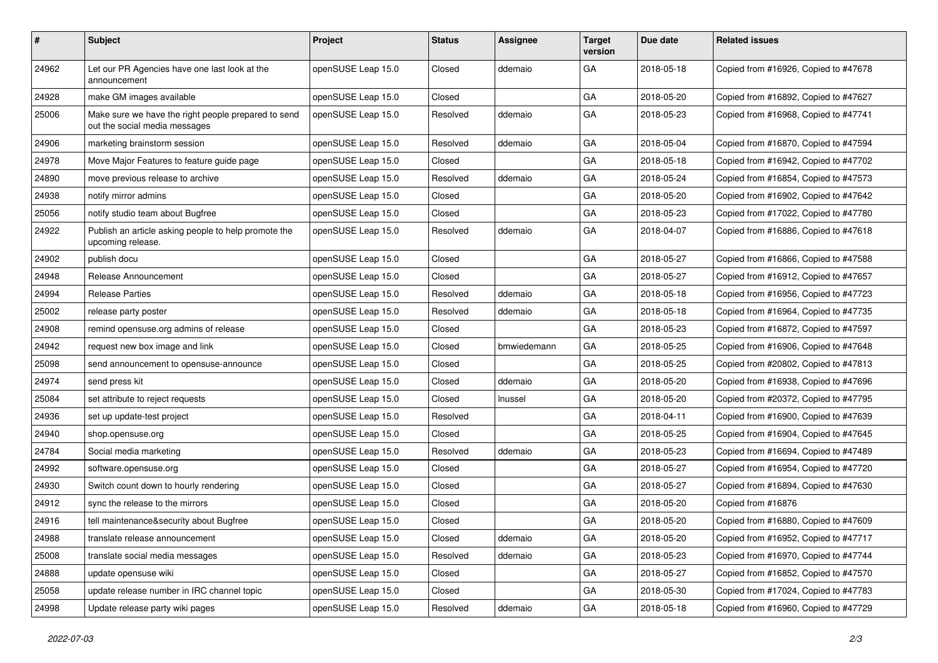| $\vert$ # | Subject                                                                              | Project            | <b>Status</b> | <b>Assignee</b> | <b>Target</b><br>version | Due date   | <b>Related issues</b>                |
|-----------|--------------------------------------------------------------------------------------|--------------------|---------------|-----------------|--------------------------|------------|--------------------------------------|
| 24962     | Let our PR Agencies have one last look at the<br>announcement                        | openSUSE Leap 15.0 | Closed        | ddemaio         | GA                       | 2018-05-18 | Copied from #16926, Copied to #47678 |
| 24928     | make GM images available                                                             | openSUSE Leap 15.0 | Closed        |                 | GA                       | 2018-05-20 | Copied from #16892, Copied to #47627 |
| 25006     | Make sure we have the right people prepared to send<br>out the social media messages | openSUSE Leap 15.0 | Resolved      | ddemaio         | GA                       | 2018-05-23 | Copied from #16968, Copied to #47741 |
| 24906     | marketing brainstorm session                                                         | openSUSE Leap 15.0 | Resolved      | ddemaio         | GA                       | 2018-05-04 | Copied from #16870, Copied to #47594 |
| 24978     | Move Major Features to feature guide page                                            | openSUSE Leap 15.0 | Closed        |                 | GA                       | 2018-05-18 | Copied from #16942, Copied to #47702 |
| 24890     | move previous release to archive                                                     | openSUSE Leap 15.0 | Resolved      | ddemaio         | GA                       | 2018-05-24 | Copied from #16854, Copied to #47573 |
| 24938     | notify mirror admins                                                                 | openSUSE Leap 15.0 | Closed        |                 | GA                       | 2018-05-20 | Copied from #16902, Copied to #47642 |
| 25056     | notify studio team about Bugfree                                                     | openSUSE Leap 15.0 | Closed        |                 | GA                       | 2018-05-23 | Copied from #17022, Copied to #47780 |
| 24922     | Publish an article asking people to help promote the<br>upcoming release.            | openSUSE Leap 15.0 | Resolved      | ddemaio         | GA                       | 2018-04-07 | Copied from #16886, Copied to #47618 |
| 24902     | publish docu                                                                         | openSUSE Leap 15.0 | Closed        |                 | GA                       | 2018-05-27 | Copied from #16866, Copied to #47588 |
| 24948     | Release Announcement                                                                 | openSUSE Leap 15.0 | Closed        |                 | GA                       | 2018-05-27 | Copied from #16912, Copied to #47657 |
| 24994     | <b>Release Parties</b>                                                               | openSUSE Leap 15.0 | Resolved      | ddemaio         | GA                       | 2018-05-18 | Copied from #16956, Copied to #47723 |
| 25002     | release party poster                                                                 | openSUSE Leap 15.0 | Resolved      | ddemaio         | GA                       | 2018-05-18 | Copied from #16964, Copied to #47735 |
| 24908     | remind opensuse.org admins of release                                                | openSUSE Leap 15.0 | Closed        |                 | GA                       | 2018-05-23 | Copied from #16872, Copied to #47597 |
| 24942     | request new box image and link                                                       | openSUSE Leap 15.0 | Closed        | bmwiedemann     | GA                       | 2018-05-25 | Copied from #16906, Copied to #47648 |
| 25098     | send announcement to opensuse-announce                                               | openSUSE Leap 15.0 | Closed        |                 | GA                       | 2018-05-25 | Copied from #20802, Copied to #47813 |
| 24974     | send press kit                                                                       | openSUSE Leap 15.0 | Closed        | ddemaio         | GA                       | 2018-05-20 | Copied from #16938, Copied to #47696 |
| 25084     | set attribute to reject requests                                                     | openSUSE Leap 15.0 | Closed        | Inussel         | GA                       | 2018-05-20 | Copied from #20372, Copied to #47795 |
| 24936     | set up update-test project                                                           | openSUSE Leap 15.0 | Resolved      |                 | GA                       | 2018-04-11 | Copied from #16900, Copied to #47639 |
| 24940     | shop.opensuse.org                                                                    | openSUSE Leap 15.0 | Closed        |                 | GA                       | 2018-05-25 | Copied from #16904, Copied to #47645 |
| 24784     | Social media marketing                                                               | openSUSE Leap 15.0 | Resolved      | ddemaio         | GA                       | 2018-05-23 | Copied from #16694, Copied to #47489 |
| 24992     | software.opensuse.org                                                                | openSUSE Leap 15.0 | Closed        |                 | GA                       | 2018-05-27 | Copied from #16954, Copied to #47720 |
| 24930     | Switch count down to hourly rendering                                                | openSUSE Leap 15.0 | Closed        |                 | GA                       | 2018-05-27 | Copied from #16894, Copied to #47630 |
| 24912     | sync the release to the mirrors                                                      | openSUSE Leap 15.0 | Closed        |                 | GA                       | 2018-05-20 | Copied from #16876                   |
| 24916     | tell maintenance&security about Bugfree                                              | openSUSE Leap 15.0 | Closed        |                 | GA                       | 2018-05-20 | Copied from #16880, Copied to #47609 |
| 24988     | translate release announcement                                                       | openSUSE Leap 15.0 | Closed        | ddemaio         | $\mathsf{GA}$            | 2018-05-20 | Copied from #16952, Copied to #47717 |
| 25008     | translate social media messages                                                      | openSUSE Leap 15.0 | Resolved      | ddemaio         | GA                       | 2018-05-23 | Copied from #16970, Copied to #47744 |
| 24888     | update opensuse wiki                                                                 | openSUSE Leap 15.0 | Closed        |                 | GA                       | 2018-05-27 | Copied from #16852, Copied to #47570 |
| 25058     | update release number in IRC channel topic                                           | openSUSE Leap 15.0 | Closed        |                 | GA                       | 2018-05-30 | Copied from #17024, Copied to #47783 |
| 24998     | Update release party wiki pages                                                      | openSUSE Leap 15.0 | Resolved      | ddemaio         | GA                       | 2018-05-18 | Copied from #16960, Copied to #47729 |